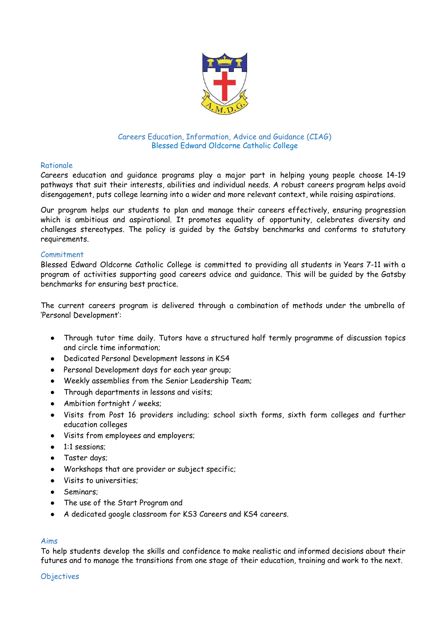

## Careers Education, Information, Advice and Guidance (CIAG) Blessed Edward Oldcorne Catholic College

## Rationale

Careers education and guidance programs play a major part in helping young people choose 14-19 pathways that suit their interests, abilities and individual needs. A robust careers program helps avoid disengagement, puts college learning into a wider and more relevant context, while raising aspirations.

Our program helps our students to plan and manage their careers effectively, ensuring progression which is ambitious and aspirational. It promotes equality of opportunity, celebrates diversity and challenges stereotypes. The policy is guided by the Gatsby benchmarks and conforms to statutory requirements.

### Commitment

Blessed Edward Oldcorne Catholic College is committed to providing all students in Years 7-11 with a program of activities supporting good careers advice and guidance. This will be guided by the Gatsby benchmarks for ensuring best practice.

The current careers program is delivered through a combination of methods under the umbrella of 'Personal Development':

- Through tutor time daily. Tutors have a structured half termly programme of discussion topics and circle time information;
- Dedicated Personal Development lessons in KS4
- Personal Development days for each year group;
- Weekly assemblies from the Senior Leadership Team;
- Through departments in lessons and visits;
- Ambition fortnight / weeks;
- Visits from Post 16 providers including; school sixth forms, sixth form colleges and further education colleges
- Visits from employees and employers;
- 1:1 sessions;
- Taster days;
- Workshops that are provider or subject specific;
- Visits to universities:
- Seminars;
- The use of the Start Program and
- A dedicated google classroom for KS3 Careers and KS4 careers.

### Aims

To help students develop the skills and confidence to make realistic and informed decisions about their futures and to manage the transitions from one stage of their education, training and work to the next.

### **Objectives**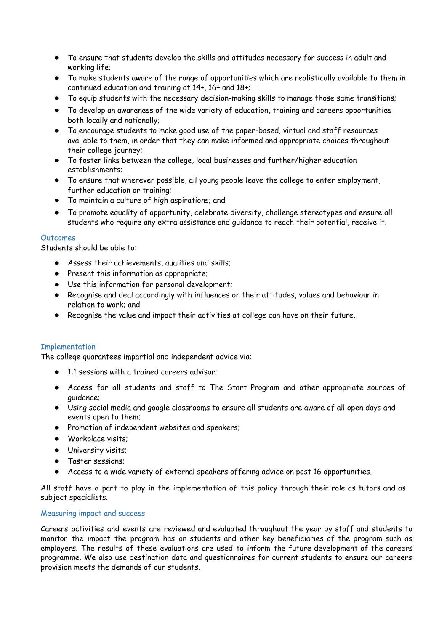- To ensure that students develop the skills and attitudes necessary for success in adult and working life;
- To make students aware of the range of opportunities which are realistically available to them in continued education and training at 14+, 16+ and 18+;
- To equip students with the necessary decision-making skills to manage those same transitions;
- To develop an awareness of the wide variety of education, training and careers opportunities both locally and nationally;
- To encourage students to make good use of the paper-based, virtual and staff resources available to them, in order that they can make informed and appropriate choices throughout their college journey;
- To foster links between the college, local businesses and further/higher education establishments;
- To ensure that wherever possible, all young people leave the college to enter employment, further education or training;
- To maintain a culture of high aspirations; and
- To promote equality of opportunity, celebrate diversity, challenge stereotypes and ensure all students who require any extra assistance and guidance to reach their potential, receive it.

### **Outcomes**

Students should be able to:

- Assess their achievements, qualities and skills;
- Present this information as appropriate;
- Use this information for personal development;
- Recognise and deal accordingly with influences on their attitudes, values and behaviour in relation to work; and
- Recognise the value and impact their activities at college can have on their future.

# Implementation

The college guarantees impartial and independent advice via:

- 1:1 sessions with a trained careers advisor;
- Access for all students and staff to The Start Program and other appropriate sources of guidance;
- Using social media and google classrooms to ensure all students are aware of all open days and events open to them;
- Promotion of independent websites and speakers;
- Workplace visits;
- University visits;
- Taster sessions;
- Access to a wide variety of external speakers offering advice on post 16 opportunities.

All staff have a part to play in the implementation of this policy through their role as tutors and as subject specialists.

### Measuring impact and success

Careers activities and events are reviewed and evaluated throughout the year by staff and students to monitor the impact the program has on students and other key beneficiaries of the program such as employers. The results of these evaluations are used to inform the future development of the careers programme. We also use destination data and questionnaires for current students to ensure our careers provision meets the demands of our students.